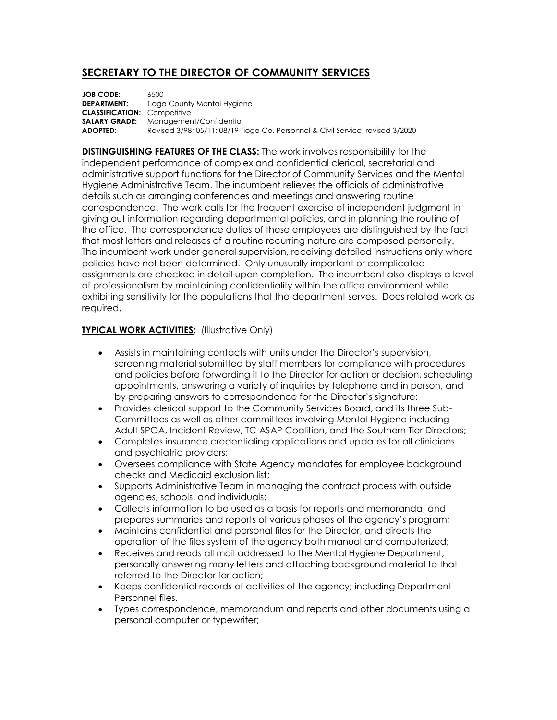## **SECRETARY TO THE DIRECTOR OF COMMUNITY SERVICES**

**JOB CODE:** 6500 **DEPARTMENT:** Tioga County Mental Hygiene **CLASSIFICATION:** Competitive **SALARY GRADE:** Management/Confidential **ADOPTED:** Revised 3/98; 05/11; 08/19 Tioga Co. Personnel & Civil Service; revised 3/2020

**DISTINGUISHING FEATURES OF THE CLASS:** The work involves responsibility for the independent performance of complex and confidential clerical, secretarial and administrative support functions for the Director of Community Services and the Mental Hygiene Administrative Team. The incumbent relieves the officials of administrative details such as arranging conferences and meetings and answering routine correspondence. The work calls for the frequent exercise of independent judgment in giving out information regarding departmental policies, and in planning the routine of the office. The correspondence duties of these employees are distinguished by the fact that most letters and releases of a routine recurring nature are composed personally. The incumbent work under general supervision, receiving detailed instructions only where policies have not been determined. Only unusually important or complicated assignments are checked in detail upon completion. The incumbent also displays a level of professionalism by maintaining confidentiality within the office environment while exhibiting sensitivity for the populations that the department serves. Does related work as required.

## **TYPICAL WORK ACTIVITIES:** (Illustrative Only)

- Assists in maintaining contacts with units under the Director's supervision, screening material submitted by staff members for compliance with procedures and policies before forwarding it to the Director for action or decision, scheduling appointments, answering a variety of inquiries by telephone and in person, and by preparing answers to correspondence for the Director's signature;
- Provides clerical support to the Community Services Board, and its three Sub-Committees as well as other committees involving Mental Hygiene including Adult SPOA, Incident Review, TC ASAP Coalition, and the Southern Tier Directors;
- Completes insurance credentialing applications and updates for all clinicians and psychiatric providers;
- Oversees compliance with State Agency mandates for employee background checks and Medicaid exclusion list;
- Supports Administrative Team in managing the contract process with outside agencies, schools, and individuals;
- Collects information to be used as a basis for reports and memoranda, and prepares summaries and reports of various phases of the agency's program;
- Maintains confidential and personal files for the Director, and directs the operation of the files system of the agency both manual and computerized;
- Receives and reads all mail addressed to the Mental Hygiene Department, personally answering many letters and attaching background material to that referred to the Director for action;
- Keeps confidential records of activities of the agency; including Department Personnel files.
- Types correspondence, memorandum and reports and other documents using a personal computer or typewriter;